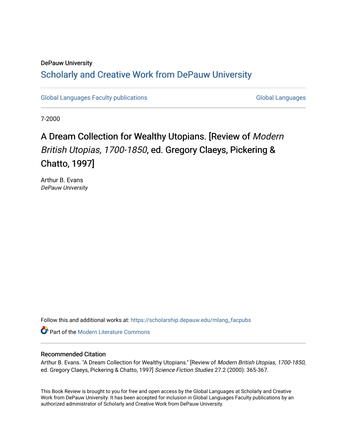## DePauw University Scholarly and [Creative Work from DePauw Univ](https://scholarship.depauw.edu/)ersity

[Global Languages Faculty publications](https://scholarship.depauw.edu/mlang_facpubs) [Global Languages](https://scholarship.depauw.edu/modernlanguages) Global Languages

7-2000

## A Dream Collection for Wealthy Utopians. [Review of Modern British Utopias, 1700-1850, ed. Gregory Claeys, Pickering & Chatto, 1997]

Arthur B. Evans DePauw University

Follow this and additional works at: [https://scholarship.depauw.edu/mlang\\_facpubs](https://scholarship.depauw.edu/mlang_facpubs?utm_source=scholarship.depauw.edu%2Fmlang_facpubs%2F26&utm_medium=PDF&utm_campaign=PDFCoverPages)

**Part of the Modern Literature Commons** 

## Recommended Citation

Arthur B. Evans. "A Dream Collection for Wealthy Utopians." [Review of Modern British Utopias, 1700-1850, ed. Gregory Claeys, Pickering & Chatto, 1997] Science Fiction Studies 27.2 (2000): 365-367.

This Book Review is brought to you for free and open access by the Global Languages at Scholarly and Creative Work from DePauw University. It has been accepted for inclusion in Global Languages Faculty publications by an authorized administrator of Scholarly and Creative Work from DePauw University.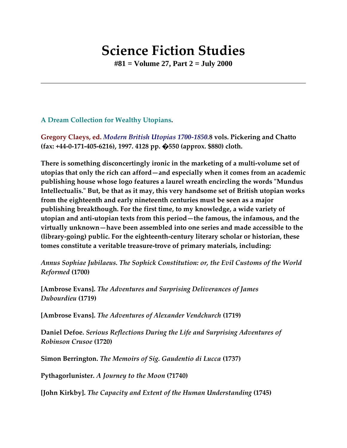## **Science Fiction Studies**

**#81 = Volume 27, Part 2 = July 2000**

**A Dream Collection for Wealthy Utopians.**

**Gregory Claeys, ed.** *Modern British Utopias 1700-1850.***8 vols. Pickering and Chatto (fax: +44-0-171-405-6216), 1997. 4128 pp. �550 (approx. \$880) cloth.**

**There is something disconcertingly ironic in the marketing of a multi-volume set of utopias that only the rich can afford—and especially when it comes from an academic publishing house whose logo features a laurel wreath encircling the words "Mundus Intellectualis." But, be that as it may, this very handsome set of British utopian works from the eighteenth and early nineteenth centuries must be seen as a major publishing breakthough. For the first time, to my knowledge, a wide variety of utopian and anti-utopian texts from this period—the famous, the infamous, and the virtually unknown—have been assembled into one series and made accessible to the (library-going) public. For the eighteenth-century literary scholar or historian, these tomes constitute a veritable treasure-trove of primary materials, including:**

*Annus Sophiae Jubilaeus. The Sophick Constitution: or, the Evil Customs of the World Reformed* **(1700)**

**[Ambrose Evans].** *The Adventures and Surprising Deliverances of James Dubourdieu* **(1719)**

**[Ambrose Evans].** *The Adventures of Alexander Vendchurch* **(1719)**

**Daniel Defoe.** *Serious Reflections During the Life and Surprising Adventures of Robinson Crusoe* **(1720)**

**Simon Berrington.** *The Memoirs of Sig. Gaudentio di Lucca* **(1737)**

**Pythagorlunister.** *A Journey to the Moon* **(?1740)**

**[John Kirkby].** *The Capacity and Extent of the Human Understanding* **(1745)**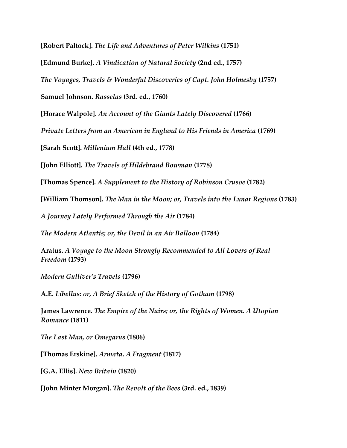**[Robert Paltock].** *The Life and Adventures of Peter Wilkins* **(1751)**

**[Edmund Burke].** *A Vindication of Natural Society* **(2nd ed., 1757)**

*The Voyages, Travels & Wonderful Discoveries of Capt. John Holmesby* **(1757)**

**Samuel Johnson.** *Rasselas* **(3rd. ed., 1760)**

**[Horace Walpole].** *An Account of the Giants Lately Discovered* **(1766)**

*Private Letters from an American in England to His Friends in America* **(1769)**

**[Sarah Scott].** *Millenium Hall* **(4th ed., 1778)**

**[John Elliott].** *The Travels of Hildebrand Bowman* **(1778)**

**[Thomas Spence].** *A Supplement to the History of Robinson Crusoe* **(1782)**

**[William Thomson].** *The Man in the Moon; or, Travels into the Lunar Regions* **(1783)**

*A Journey Lately Performed Through the Air* **(1784)**

*The Modern Atlantis; or, the Devil in an Air Balloon* **(1784)**

**Aratus.** *A Voyage to the Moon Strongly Recommended to All Lovers of Real Freedom* **(1793)**

*Modern Gulliver's Travels* **(1796)**

**A.E.** *Libellus: or, A Brief Sketch of the History of Gotham* **(1798)**

**James Lawrence.** *The Empire of the Nairs; or, the Rights of Women. A Utopian Romance* **(1811)**

*The Last Man, or Omegarus* **(1806)**

**[Thomas Erskine].** *Armata. A Fragment* **(1817)**

**[G.A. Ellis].** *New Britain* **(1820)**

**[John Minter Morgan].** *The Revolt of the Bees* **(3rd. ed., 1839)**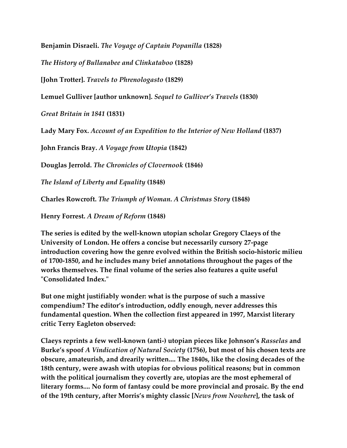**Benjamin Disraeli.** *The Voyage of Captain Popanilla* **(1828)**

*The History of Bullanabee and Clinkataboo* **(1828)**

**[John Trotter].** *Travels to Phrenologasto* **(1829)**

**Lemuel Gulliver [author unknown].** *Sequel to Gulliver's Travels* **(1830)**

*Great Britain in 1841* **(1831)**

**Lady Mary Fox.** *Account of an Expedition to the Interior of New Holland* **(1837)**

**John Francis Bray.** *A Voyage from Utopia* **(1842)**

**Douglas Jerrold.** *The Chronicles of Clovernook* **(1846)**

*The Island of Liberty and Equality* **(1848)**

**Charles Rowcroft.** *The Triumph of Woman. A Christmas Story* **(1848)**

**Henry Forrest.** *A Dream of Reform* **(1848)**

**The series is edited by the well-known utopian scholar Gregory Claeys of the University of London. He offers a concise but necessarily cursory 27-page introduction covering how the genre evolved within the British socio-historic milieu of 1700-1850, and he includes many brief annotations throughout the pages of the works themselves. The final volume of the series also features a quite useful "Consolidated Index."**

**But one might justifiably wonder: what is the purpose of such a massive compendium? The editor's introduction, oddly enough, never addresses this fundamental question. When the collection first appeared in 1997, Marxist literary critic Terry Eagleton observed:**

**Claeys reprints a few well-known (anti-) utopian pieces like Johnson's** *Rasselas* **and Burke's spoof** *A Vindication of Natural Society* **(1756), but most of his chosen texts are obscure, amateurish, and drearily written.... The 1840s, like the closing decades of the 18th century, were awash with utopias for obvious political reasons; but in common with the political journalism they covertly are, utopias are the most ephemeral of literary forms.... No form of fantasy could be more provincial and prosaic. By the end of the 19th century, after Morris's mighty classic [***News from Nowhere***], the task of**